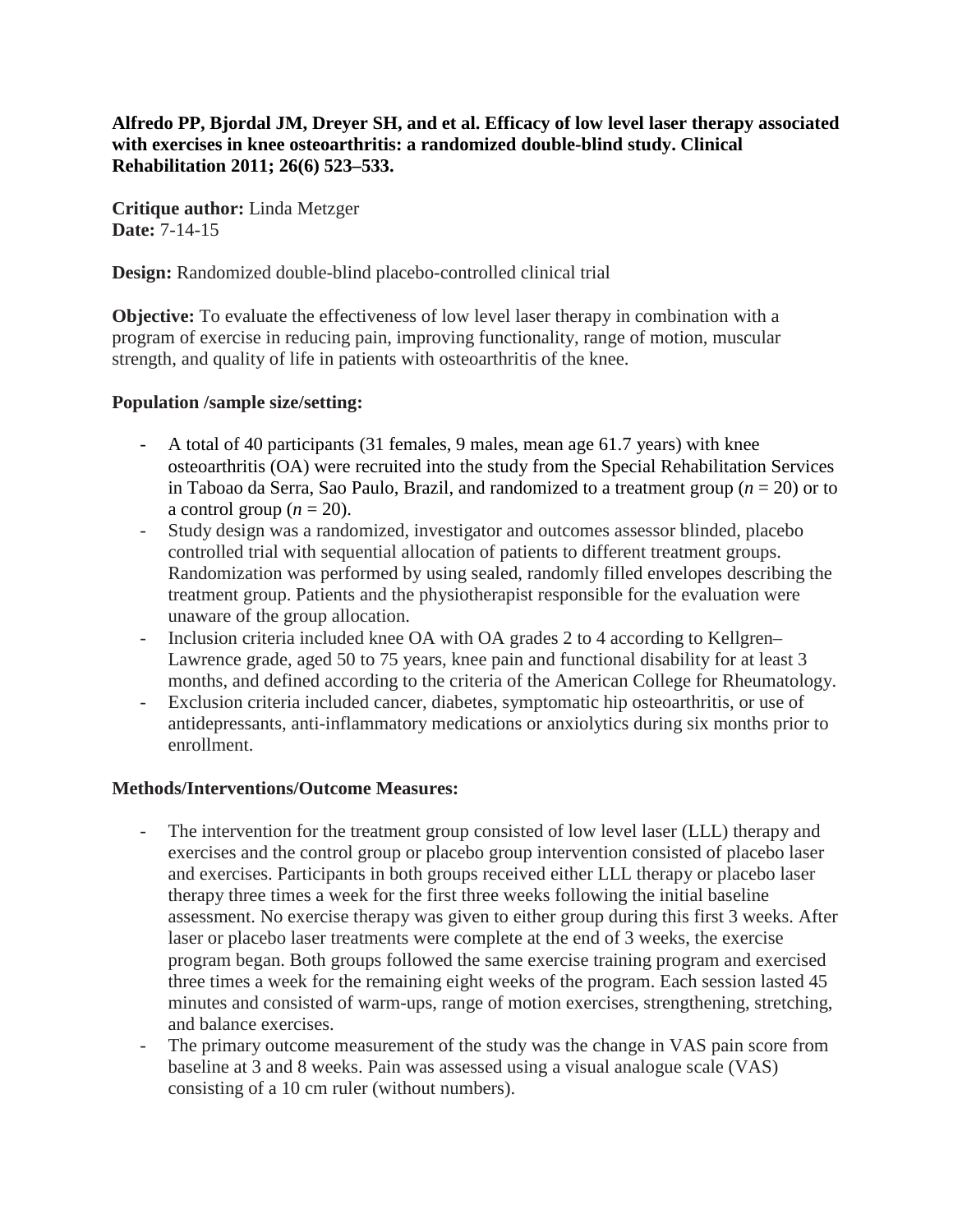**Alfredo PP, Bjordal JM, Dreyer SH, and et al. Efficacy of low level laser therapy associated with exercises in knee osteoarthritis: a randomized double-blind study. Clinical Rehabilitation 2011; 26(6) 523–533.**

**Critique author:** Linda Metzger **Date:** 7-14-15

**Design:** Randomized double-blind placebo-controlled clinical trial

**Objective:** To evaluate the effectiveness of low level laser therapy in combination with a program of exercise in reducing pain, improving functionality, range of motion, muscular strength, and quality of life in patients with osteoarthritis of the knee.

### **Population /sample size/setting:**

- A total of 40 participants (31 females, 9 males, mean age 61.7 years) with knee osteoarthritis (OA) were recruited into the study from the Special Rehabilitation Services in Taboao da Serra, Sao Paulo, Brazil, and randomized to a treatment group  $(n = 20)$  or to a control group  $(n = 20)$ .
- Study design was a randomized, investigator and outcomes assessor blinded, placebo controlled trial with sequential allocation of patients to different treatment groups. Randomization was performed by using sealed, randomly filled envelopes describing the treatment group. Patients and the physiotherapist responsible for the evaluation were unaware of the group allocation.
- Inclusion criteria included knee OA with OA grades 2 to 4 according to Kellgren– Lawrence grade, aged 50 to 75 years, knee pain and functional disability for at least 3 months, and defined according to the criteria of the American College for Rheumatology.
- Exclusion criteria included cancer, diabetes, symptomatic hip osteoarthritis, or use of antidepressants, anti-inflammatory medications or anxiolytics during six months prior to enrollment.

# **Methods/Interventions/Outcome Measures:**

- The intervention for the treatment group consisted of low level laser (LLL) therapy and exercises and the control group or placebo group intervention consisted of placebo laser and exercises. Participants in both groups received either LLL therapy or placebo laser therapy three times a week for the first three weeks following the initial baseline assessment. No exercise therapy was given to either group during this first 3 weeks. After laser or placebo laser treatments were complete at the end of 3 weeks, the exercise program began. Both groups followed the same exercise training program and exercised three times a week for the remaining eight weeks of the program. Each session lasted 45 minutes and consisted of warm-ups, range of motion exercises, strengthening, stretching, and balance exercises.
- The primary outcome measurement of the study was the change in VAS pain score from baseline at 3 and 8 weeks. Pain was assessed using a visual analogue scale (VAS) consisting of a 10 cm ruler (without numbers).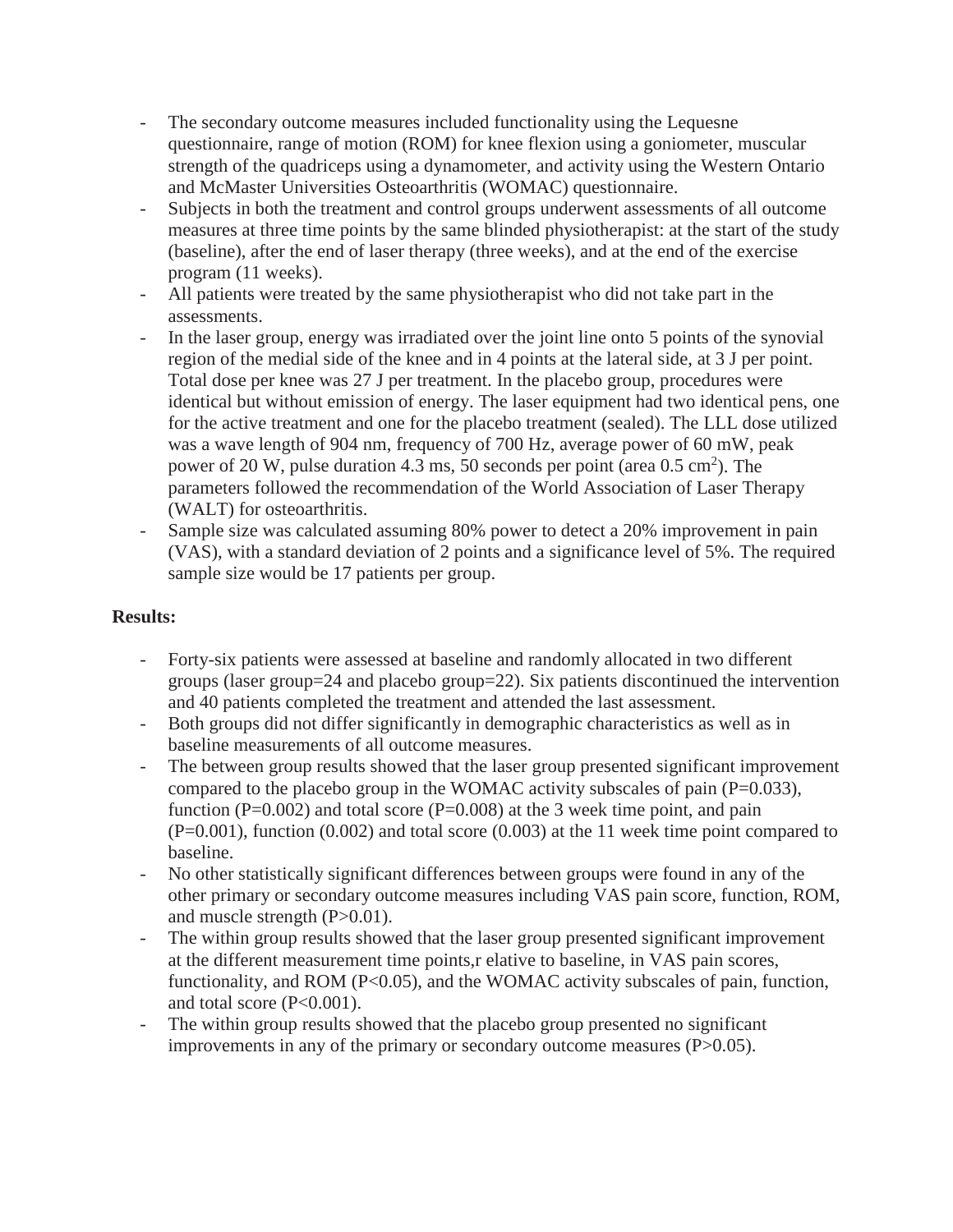- The secondary outcome measures included functionality using the Lequesne questionnaire, range of motion (ROM) for knee flexion using a goniometer, muscular strength of the quadriceps using a dynamometer, and activity using the Western Ontario and McMaster Universities Osteoarthritis (WOMAC) questionnaire.
- Subjects in both the treatment and control groups underwent assessments of all outcome measures at three time points by the same blinded physiotherapist: at the start of the study (baseline), after the end of laser therapy (three weeks), and at the end of the exercise program (11 weeks).
- All patients were treated by the same physiotherapist who did not take part in the assessments.
- In the laser group, energy was irradiated over the joint line onto 5 points of the synovial region of the medial side of the knee and in 4 points at the lateral side, at 3 J per point. Total dose per knee was 27 J per treatment. In the placebo group, procedures were identical but without emission of energy. The laser equipment had two identical pens, one for the active treatment and one for the placebo treatment (sealed). The LLL dose utilized was a wave length of 904 nm, frequency of 700 Hz, average power of 60 mW, peak power of 20 W, pulse duration 4.3 ms, 50 seconds per point (area  $0.5 \text{ cm}^2$ ). The parameters followed the recommendation of the World Association of Laser Therapy (WALT) for osteoarthritis.
- Sample size was calculated assuming 80% power to detect a 20% improvement in pain (VAS), with a standard deviation of 2 points and a significance level of 5%. The required sample size would be 17 patients per group.

# **Results:**

- Forty-six patients were assessed at baseline and randomly allocated in two different groups (laser group=24 and placebo group=22). Six patients discontinued the intervention and 40 patients completed the treatment and attended the last assessment.
- Both groups did not differ significantly in demographic characteristics as well as in baseline measurements of all outcome measures.
- The between group results showed that the laser group presented significant improvement compared to the placebo group in the WOMAC activity subscales of pain  $(P=0.033)$ , function (P=0.002) and total score (P=0.008) at the 3 week time point, and pain  $(P=0.001)$ , function  $(0.002)$  and total score  $(0.003)$  at the 11 week time point compared to baseline.
- No other statistically significant differences between groups were found in any of the other primary or secondary outcome measures including VAS pain score, function, ROM, and muscle strength (P>0.01).
- The within group results showed that the laser group presented significant improvement at the different measurement time points,r elative to baseline, in VAS pain scores, functionality, and ROM (P<0.05), and the WOMAC activity subscales of pain, function, and total score (P<0.001).
- The within group results showed that the placebo group presented no significant improvements in any of the primary or secondary outcome measures (P>0.05).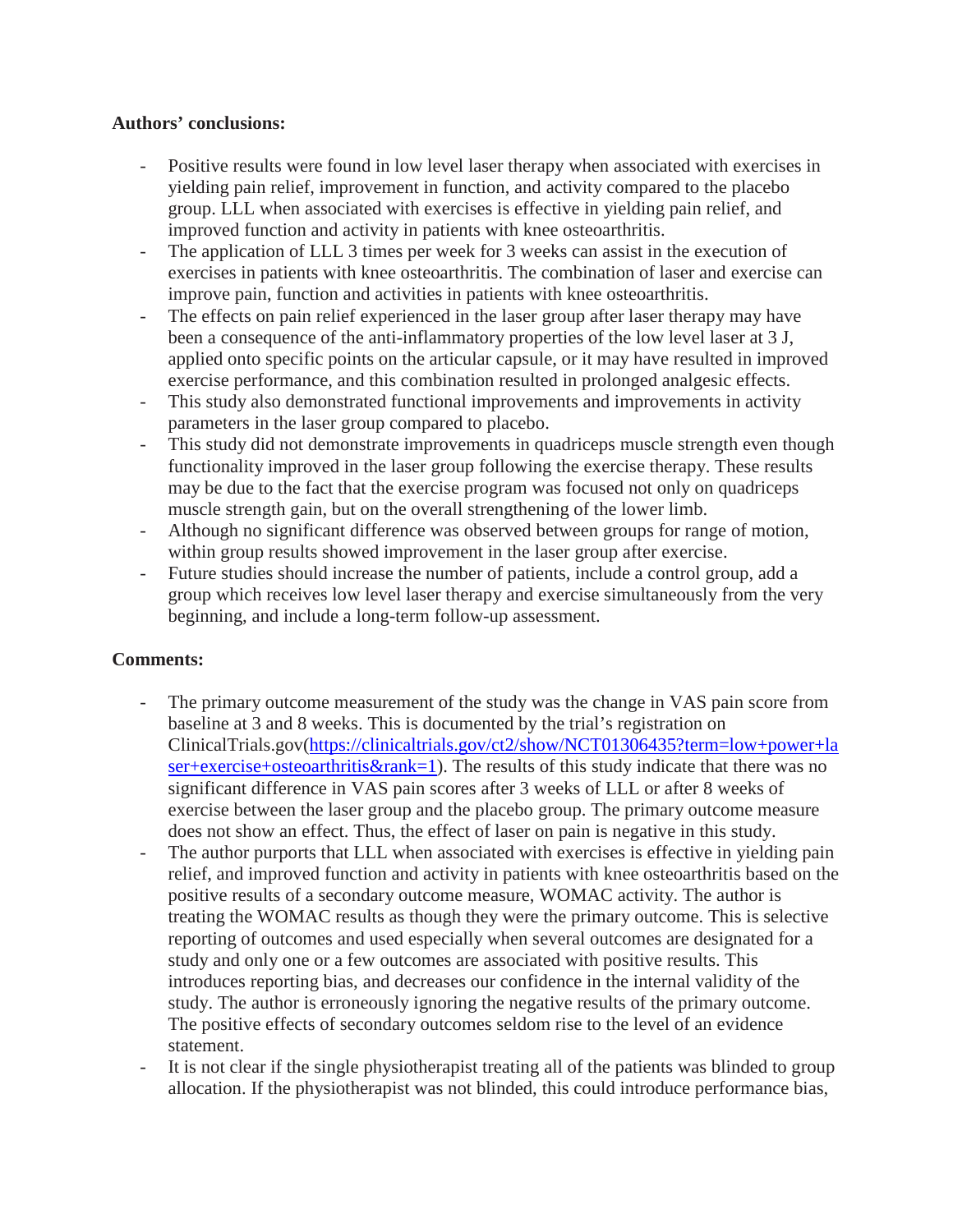### **Authors' conclusions:**

- Positive results were found in low level laser therapy when associated with exercises in yielding pain relief, improvement in function, and activity compared to the placebo group. LLL when associated with exercises is effective in yielding pain relief, and improved function and activity in patients with knee osteoarthritis.
- The application of LLL 3 times per week for 3 weeks can assist in the execution of exercises in patients with knee osteoarthritis. The combination of laser and exercise can improve pain, function and activities in patients with knee osteoarthritis.
- The effects on pain relief experienced in the laser group after laser therapy may have been a consequence of the anti-inflammatory properties of the low level laser at 3 J, applied onto specific points on the articular capsule, or it may have resulted in improved exercise performance, and this combination resulted in prolonged analgesic effects.
- This study also demonstrated functional improvements and improvements in activity parameters in the laser group compared to placebo.
- This study did not demonstrate improvements in quadriceps muscle strength even though functionality improved in the laser group following the exercise therapy. These results may be due to the fact that the exercise program was focused not only on quadriceps muscle strength gain, but on the overall strengthening of the lower limb.
- Although no significant difference was observed between groups for range of motion, within group results showed improvement in the laser group after exercise.
- Future studies should increase the number of patients, include a control group, add a group which receives low level laser therapy and exercise simultaneously from the very beginning, and include a long-term follow-up assessment.

# **Comments:**

- The primary outcome measurement of the study was the change in VAS pain score from baseline at 3 and 8 weeks. This is documented by the trial's registration on ClinicalTrials.gov[\(https://clinicaltrials.gov/ct2/show/NCT01306435?term=low+power+la](https://clinicaltrials.gov/ct2/show/NCT01306435?term=low+power+laser+exercise+osteoarthritis&rank=1) [ser+exercise+osteoarthritis&rank=1\)](https://clinicaltrials.gov/ct2/show/NCT01306435?term=low+power+laser+exercise+osteoarthritis&rank=1). The results of this study indicate that there was no significant difference in VAS pain scores after 3 weeks of LLL or after 8 weeks of exercise between the laser group and the placebo group. The primary outcome measure does not show an effect. Thus, the effect of laser on pain is negative in this study.
- The author purports that LLL when associated with exercises is effective in yielding pain relief, and improved function and activity in patients with knee osteoarthritis based on the positive results of a secondary outcome measure, WOMAC activity. The author is treating the WOMAC results as though they were the primary outcome. This is selective reporting of outcomes and used especially when several outcomes are designated for a study and only one or a few outcomes are associated with positive results. This introduces reporting bias, and decreases our confidence in the internal validity of the study. The author is erroneously ignoring the negative results of the primary outcome. The positive effects of secondary outcomes seldom rise to the level of an evidence statement.
- It is not clear if the single physiotherapist treating all of the patients was blinded to group allocation. If the physiotherapist was not blinded, this could introduce performance bias,